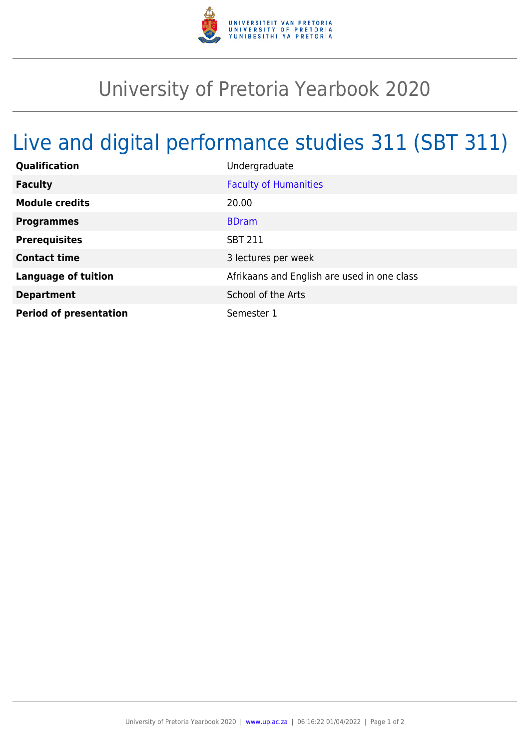

## University of Pretoria Yearbook 2020

## Live and digital performance studies 311 (SBT 311)

| Qualification                 | Undergraduate                               |
|-------------------------------|---------------------------------------------|
| <b>Faculty</b>                | <b>Faculty of Humanities</b>                |
| <b>Module credits</b>         | 20.00                                       |
| <b>Programmes</b>             | <b>BDram</b>                                |
| <b>Prerequisites</b>          | <b>SBT 211</b>                              |
| <b>Contact time</b>           | 3 lectures per week                         |
| <b>Language of tuition</b>    | Afrikaans and English are used in one class |
| <b>Department</b>             | School of the Arts                          |
| <b>Period of presentation</b> | Semester 1                                  |